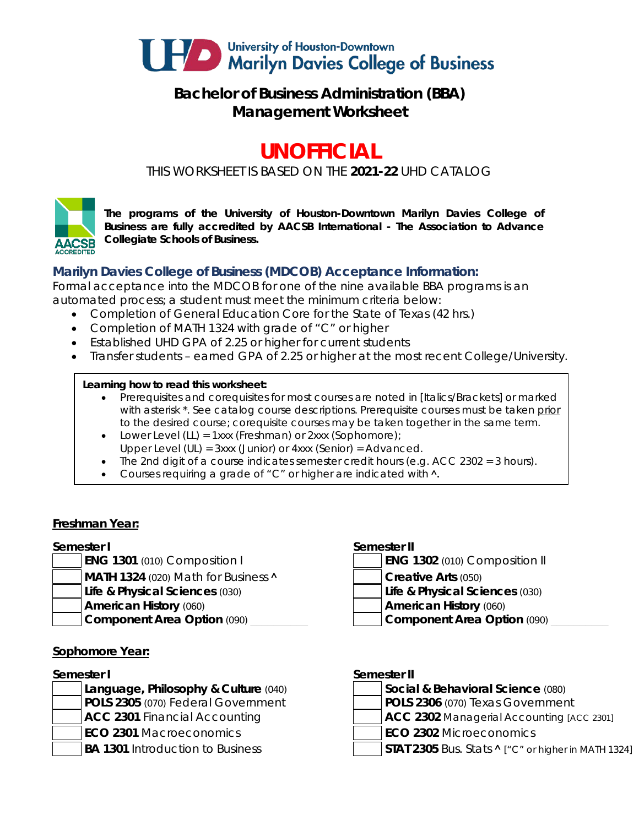

## **Bachelor of Business Administration (BBA) Management Worksheet**

# **UNOFFICIAL**

*THIS WORKSHEET IS BASED ON THE 2021-22 UHD CATALOG*



*The programs of the University of Houston-Downtown Marilyn Davies College of Business are fully accredited by AACSB International - The Association to Advance Collegiate Schools of Business.*

### **Marilyn Davies College of Business (MDCOB) Acceptance Information:**

Formal acceptance into the MDCOB for one of the nine available BBA programs is an automated process; a student must meet the minimum criteria below:

- Completion of General Education Core for the State of Texas (42 hrs.)
- Completion of MATH 1324 with grade of "C" or higher
- Established UHD GPA of 2.25 or higher for current students
- Transfer students earned GPA of 2.25 or higher at the most recent College/University.

### **Learning how to read this worksheet:**

- Prerequisites and corequisites for most courses are noted in *[Italics/Brackets]* or marked with asterisk \*. See catalog course descriptions. Prerequisite courses must be taken prior to the desired course; corequisite courses may be taken together in the same term.
- Lower Level (LL) = 1xxx (Freshman) or 2xxx (Sophomore);
- Upper Level (UL) = 3xxx (Junior) or 4xxx (Senior) = Advanced.
- The 2nd digit of a course indicates semester credit hours (e.g. ACC 2302 = 3 hours).
- Courses requiring a grade of "C" or higher are indicated with  $\lambda$ .

### **Freshman Year:**

### **Semester I Semester II**

- 
- **MATH 1324** (020) Math for Business **A Creative Arts** (050)
- **Life & Physical Sciences** (030) **Life & Physical Sciences** (030)
- -

### **Sophomore Year:**

- **Language, Philosophy & Culture (040) POLS 2305** (070) Federal Government **ACC 2301** Financial Accounting **ACC 2302** Managerial Accounting *[ACC 2301]*
- 
- 

- **ENG 1301** (010) Composition I **ENG 1302** (010) Composition II
	- -
- **American History** (060) **American History** (060)
- **Component Area Option** (090) **and Component Area Option** (090)

### **Semester I Semester II**

| Social & Behavioral Science (080)                         |
|-----------------------------------------------------------|
| POLS 2306 (070) Texas Government                          |
| $\Lambda$ CC 2302 Managorial Accounting $\Lambda$ CC 2201 |

- 
- **ECO 2301** Macroeconomics **ECO 2302** Microeconomics
- **BA 1301** Introduction to Business **STAT 2305** Bus. Stats **^** ["C" or higher in MATH 1324]